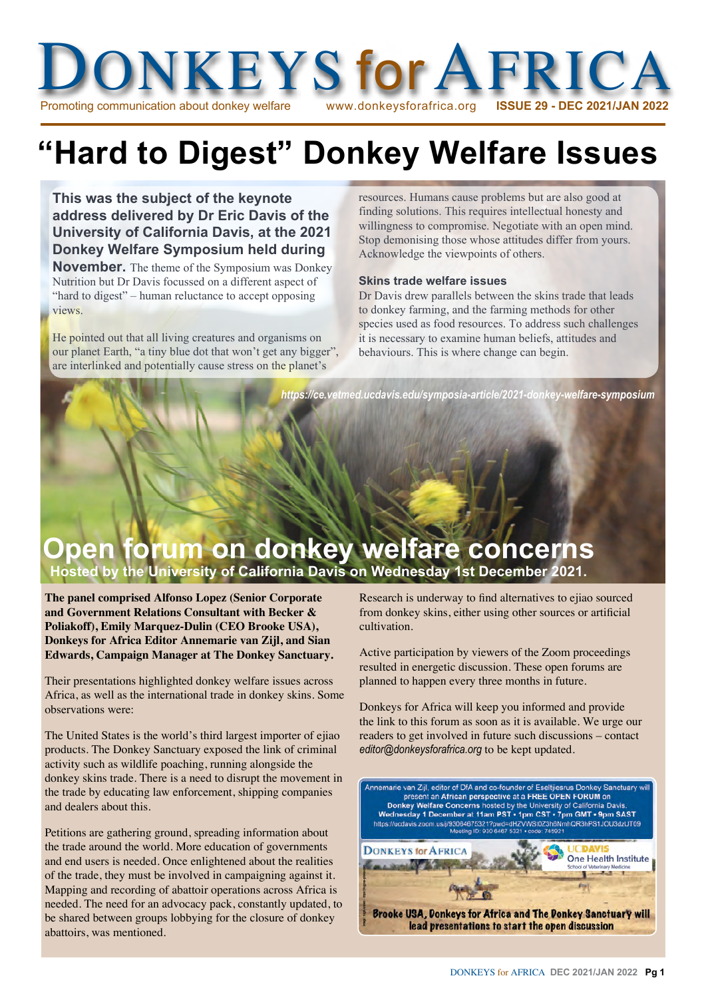

# **"Hard to Digest" Donkey Welfare Issues**

**This was the subject of the keynote address delivered by Dr Eric Davis of the University of California Davis, at the 2021 Donkey Welfare Symposium held during** 

**November.** The theme of the Symposium was Donkey Nutrition but Dr Davis focussed on a different aspect of "hard to digest" – human reluctance to accept opposing views.

He pointed out that all living creatures and organisms on our planet Earth, "a tiny blue dot that won't get any bigger", are interlinked and potentially cause stress on the planet's

resources. Humans cause problems but are also good at finding solutions. This requires intellectual honesty and willingness to compromise. Negotiate with an open mind. Stop demonising those whose attitudes differ from yours. Acknowledge the viewpoints of others.

#### **Skins trade welfare issues**

Dr Davis drew parallels between the skins trade that leads to donkey farming, and the farming methods for other species used as food resources. To address such challenges it is necessary to examine human beliefs, attitudes and behaviours. This is where change can begin.

*https://ce.vetmed.ucdavis.edu/symposia-article/2021-donkey-welfare-symposium*

## **Open forum on donkey welfare concerns Hosted by the University of California Davis on Wednesday 1st December 2021.**

**The panel comprised Alfonso Lopez (Senior Corporate and Government Relations Consultant with Becker & Poliakoff), Emily Marquez-Dulin (CEO Brooke USA), Donkeys for Africa Editor Annemarie van Zijl, and Sian Edwards, Campaign Manager at The Donkey Sanctuary.**

Their presentations highlighted donkey welfare issues across Africa, as well as the international trade in donkey skins. Some observations were:

The United States is the world's third largest importer of ejiao products. The Donkey Sanctuary exposed the link of criminal activity such as wildlife poaching, running alongside the donkey skins trade. There is a need to disrupt the movement in the trade by educating law enforcement, shipping companies and dealers about this.

Petitions are gathering ground, spreading information about the trade around the world. More education of governments and end users is needed. Once enlightened about the realities of the trade, they must be involved in campaigning against it. Mapping and recording of abattoir operations across Africa is needed. The need for an advocacy pack, constantly updated, to be shared between groups lobbying for the closure of donkey abattoirs, was mentioned.

Research is underway to find alternatives to ejiao sourced from donkey skins, either using other sources or artificial cultivation.

Active participation by viewers of the Zoom proceedings resulted in energetic discussion. These open forums are planned to happen every three months in future.

Donkeys for Africa will keep you informed and provide the link to this forum as soon as it is available. We urge our readers to get involved in future such discussions – contact *editor@donkeysforafrica.org* to be kept updated.

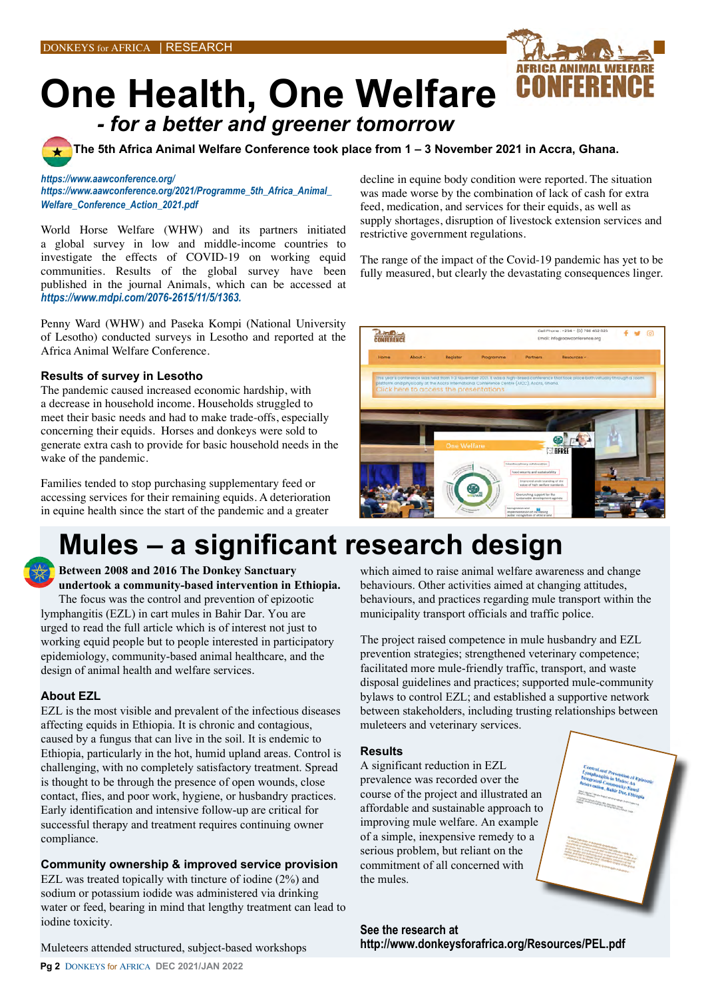

**One Health, One Welfare**  *- for a better and greener tomorrow* 

**The 5th Africa Animal Welfare Conference took place from 1 – 3 November 2021 in Accra, Ghana.**

#### *<https://www.aawconference.org/>*

*[https://www.aawconference.org/2021/Programme\\_5th\\_Africa\\_Animal\\_](https://www.aawconference.org/2021/Programme_5th_Africa_Animal_Welfare_Conference_Action_2021.pdf) [Welfare\\_Conference\\_Action\\_2021.pdf](https://www.aawconference.org/2021/Programme_5th_Africa_Animal_Welfare_Conference_Action_2021.pdf)*

World Horse Welfare (WHW) and its partners initiated a global survey in low and middle-income countries to investigate the effects of COVID-19 on working equid communities. Results of the global survey have been published in the journal Animals, which can be accessed at *<https://www.mdpi.com/2076-2615/11/5/1363>.*

Penny Ward (WHW) and Paseka Kompi (National University of Lesotho) conducted surveys in Lesotho and reported at the Africa Animal Welfare Conference.

#### **Results of survey in Lesotho**

The pandemic caused increased economic hardship, with a decrease in household income. Households struggled to meet their basic needs and had to make trade-offs, especially concerning their equids. Horses and donkeys were sold to generate extra cash to provide for basic household needs in the wake of the pandemic.

Families tended to stop purchasing supplementary feed or accessing services for their remaining equids. A deterioration in equine health since the start of the pandemic and a greater

#### decline in equine body condition were reported. The situation was made worse by the combination of lack of cash for extra feed, medication, and services for their equids, as well as supply shortages, disruption of livestock extension services and restrictive government regulations.

The range of the impact of the Covid-19 pandemic has yet to be fully measured, but clearly the devastating consequences linger.



## **Mules – a significant research design**

**Between 2008 and 2016 The Donkey Sanctuary undertook a community-based intervention in Ethiopia.** The focus was the control and prevention of epizootic lymphangitis (EZL) in cart mules in Bahir Dar. You are urged to read the full article which is of interest not just to working equid people but to people interested in participatory epidemiology, community-based animal healthcare, and the design of animal health and welfare services.

#### **About EZL**

EZL is the most visible and prevalent of the infectious diseases affecting equids in Ethiopia. It is chronic and contagious, caused by a fungus that can live in the soil. It is endemic to Ethiopia, particularly in the hot, humid upland areas. Control is challenging, with no completely satisfactory treatment. Spread is thought to be through the presence of open wounds, close contact, flies, and poor work, hygiene, or husbandry practices. Early identification and intensive follow-up are critical for successful therapy and treatment requires continuing owner compliance.

#### **Community ownership & improved service provision**

EZL was treated topically with tincture of iodine (2%) and sodium or potassium iodide was administered via drinking water or feed, bearing in mind that lengthy treatment can lead to iodine toxicity.

Muleteers attended structured, subject-based workshops

which aimed to raise animal welfare awareness and change behaviours. Other activities aimed at changing attitudes, behaviours, and practices regarding mule transport within the municipality transport officials and traffic police.

The project raised competence in mule husbandry and EZL prevention strategies; strengthened veterinary competence; facilitated more mule-friendly traffic, transport, and waste disposal guidelines and practices; supported mule-community bylaws to control EZL; and established a supportive network between stakeholders, including trusting relationships between muleteers and veterinary services.

#### **Results**

A significant reduction in EZL prevalence was recorded over the course of the project and illustrated an affordable and sustainable approach to improving mule welfare. An example of a simple, inexpensive remedy to a serious problem, but reliant on the commitment of all concerned with the mules.

**See the research at http://www.donkeysforafrica.org/Resources/PEL.pdf**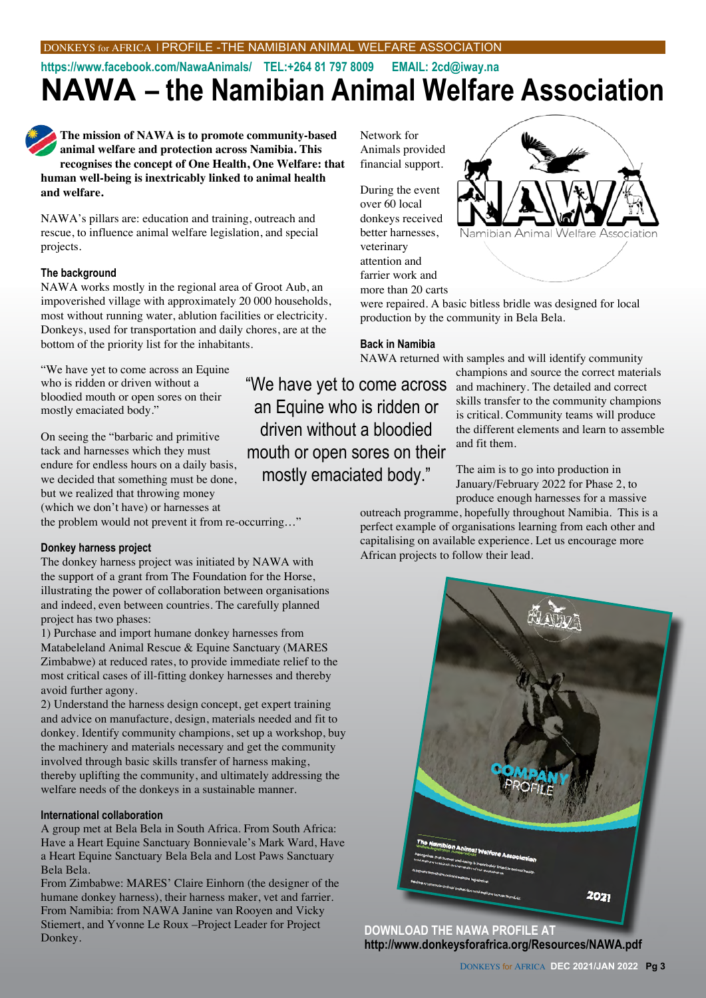## **NAWA – the Namibian Animal Welfare Association https://www.facebook.com/NawaAnimals/ TEL:+264 81 797 8009 EMAIL: 2cd@iway.na**

**The mission of NAWA is to promote community-based animal welfare and protection across Namibia. This recognises the concept of One Health, One Welfare: that human well-being is inextricably linked to animal health and welfare.** 

NAWA's pillars are: education and training, outreach and rescue, to influence animal welfare legislation, and special projects.

#### **The background**

NAWA works mostly in the regional area of Groot Aub, an impoverished village with approximately 20 000 households, most without running water, ablution facilities or electricity. Donkeys, used for transportation and daily chores, are at the bottom of the priority list for the inhabitants.

"We have yet to come across an Equine who is ridden or driven without a bloodied mouth or open sores on their mostly emaciated body."

On seeing the "barbaric and primitive tack and harnesses which they must endure for endless hours on a daily basis, we decided that something must be done, but we realized that throwing money (which we don't have) or harnesses at

#### the problem would not prevent it from re-occurring…"

#### **Donkey harness project**

The donkey harness project was initiated by NAWA with the support of a grant from The Foundation for the Horse, illustrating the power of collaboration between organisations and indeed, even between countries. The carefully planned project has two phases:

1) Purchase and import humane donkey harnesses from Matabeleland Animal Rescue & Equine Sanctuary (MARES Zimbabwe) at reduced rates, to provide immediate relief to the most critical cases of ill-fitting donkey harnesses and thereby avoid further agony.

2) Understand the harness design concept, get expert training and advice on manufacture, design, materials needed and fit to donkey. Identify community champions, set up a workshop, buy the machinery and materials necessary and get the community involved through basic skills transfer of harness making, thereby uplifting the community, and ultimately addressing the welfare needs of the donkeys in a sustainable manner.

#### **International collaboration**

A group met at Bela Bela in South Africa. From South Africa: Have a Heart Equine Sanctuary Bonnievale's Mark Ward, Have a Heart Equine Sanctuary Bela Bela and Lost Paws Sanctuary Bela Bela.

From Zimbabwe: MARES' Claire Einhorn (the designer of the humane donkey harness), their harness maker, vet and farrier. From Namibia: from NAWA Janine van Rooyen and Vicky Stiemert, and Yvonne Le Roux –Project Leader for Project Donkey.

Network for Animals provided financial support.

During the event over 60 local donkeys received better harnesses, veterinary attention and farrier work and more than 20 carts



were repaired. A basic bitless bridle was designed for local production by the community in Bela Bela.

#### **Back in Namibia**

NAWA returned with samples and will identify community

"We have yet to come across an Equine who is ridden or driven without a bloodied mouth or open sores on their mostly emaciated body."

champions and source the correct materials and machinery. The detailed and correct skills transfer to the community champions is critical. Community teams will produce the different elements and learn to assemble and fit them.

The aim is to go into production in January/February 2022 for Phase 2, to produce enough harnesses for a massive

outreach programme, hopefully throughout Namibia. This is a perfect example of organisations learning from each other and capitalising on available experience. Let us encourage more African projects to follow their lead.



**DOWNLOAD THE NAWA PROFILE AT http://www.donkeysforafrica.org/Resources/NAWA.pdf**